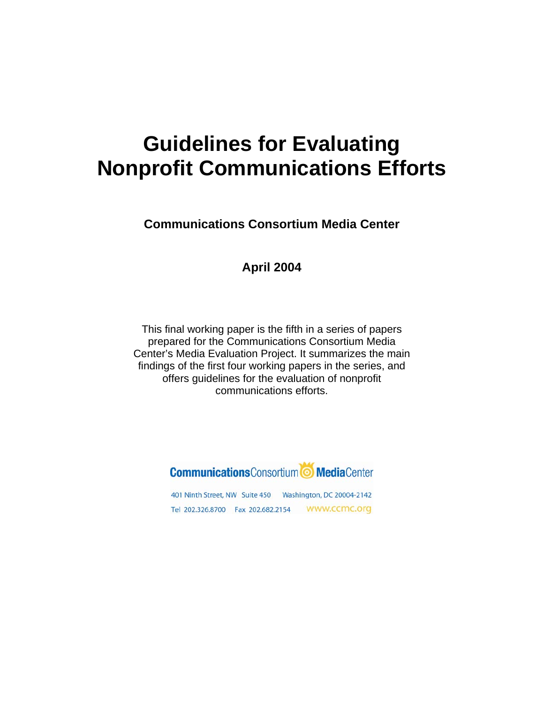# **Guidelines for Evaluating Nonprofit Communications Efforts**

**Communications Consortium Media Center** 

### **April 2004**

This final working paper is the fifth in a series of papers prepared for the Communications Consortium Media Center's Media Evaluation Project. It summarizes the main findings of the first four working papers in the series, and offers guidelines for the evaluation of nonprofit communications efforts.

### **Communications** Consortium<sup>1</sup> Media Center

401 Ninth Street, NW Suite 450 Washington, DC 20004-2142 Tel 202.326.8700 Fax 202.682.2154 WWW.CCMC.Org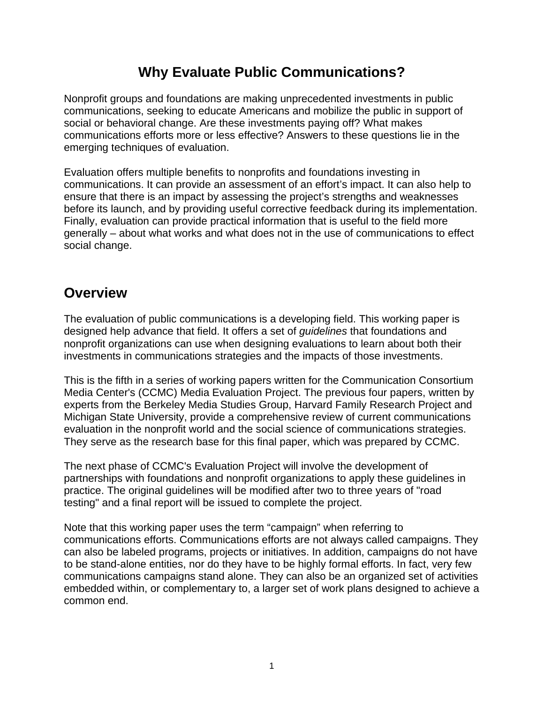### **Why Evaluate Public Communications?**

Nonprofit groups and foundations are making unprecedented investments in public communications, seeking to educate Americans and mobilize the public in support of social or behavioral change. Are these investments paying off? What makes communications efforts more or less effective? Answers to these questions lie in the emerging techniques of evaluation.

Evaluation offers multiple benefits to nonprofits and foundations investing in communications. It can provide an assessment of an effort's impact. It can also help to ensure that there is an impact by assessing the project's strengths and weaknesses before its launch, and by providing useful corrective feedback during its implementation. Finally, evaluation can provide practical information that is useful to the field more generally – about what works and what does not in the use of communications to effect social change.

### **Overview**

The evaluation of public communications is a developing field. This working paper is designed help advance that field. It offers a set of *guidelines* that foundations and nonprofit organizations can use when designing evaluations to learn about both their investments in communications strategies and the impacts of those investments.

This is the fifth in a series of working papers written for the Communication Consortium Media Center's (CCMC) Media Evaluation Project. The previous four papers, written by experts from the Berkeley Media Studies Group, Harvard Family Research Project and Michigan State University, provide a comprehensive review of current communications evaluation in the nonprofit world and the social science of communications strategies. They serve as the research base for this final paper, which was prepared by CCMC.

The next phase of CCMC's Evaluation Project will involve the development of partnerships with foundations and nonprofit organizations to apply these guidelines in practice. The original guidelines will be modified after two to three years of "road testing" and a final report will be issued to complete the project.

Note that this working paper uses the term "campaign" when referring to communications efforts. Communications efforts are not always called campaigns. They can also be labeled programs, projects or initiatives. In addition, campaigns do not have to be stand-alone entities, nor do they have to be highly formal efforts. In fact, very few communications campaigns stand alone. They can also be an organized set of activities embedded within, or complementary to, a larger set of work plans designed to achieve a common end.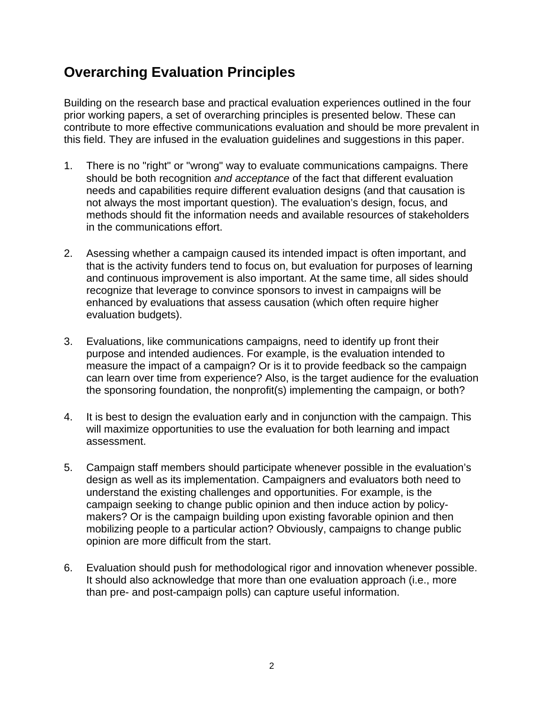# **Overarching Evaluation Principles**

Building on the research base and practical evaluation experiences outlined in the four prior working papers, a set of overarching principles is presented below. These can contribute to more effective communications evaluation and should be more prevalent in this field. They are infused in the evaluation guidelines and suggestions in this paper.

- 1. There is no "right" or "wrong" way to evaluate communications campaigns. There should be both recognition *and acceptance* of the fact that different evaluation needs and capabilities require different evaluation designs (and that causation is not always the most important question). The evaluation's design, focus, and methods should fit the information needs and available resources of stakeholders in the communications effort.
- 2. Asessing whether a campaign caused its intended impact is often important, and that is the activity funders tend to focus on, but evaluation for purposes of learning and continuous improvement is also important. At the same time, all sides should recognize that leverage to convince sponsors to invest in campaigns will be enhanced by evaluations that assess causation (which often require higher evaluation budgets).
- 3. Evaluations, like communications campaigns, need to identify up front their purpose and intended audiences. For example, is the evaluation intended to measure the impact of a campaign? Or is it to provide feedback so the campaign can learn over time from experience? Also, is the target audience for the evaluation the sponsoring foundation, the nonprofit(s) implementing the campaign, or both?
- 4. It is best to design the evaluation early and in conjunction with the campaign. This will maximize opportunities to use the evaluation for both learning and impact assessment.
- 5. Campaign staff members should participate whenever possible in the evaluation's design as well as its implementation. Campaigners and evaluators both need to understand the existing challenges and opportunities. For example, is the campaign seeking to change public opinion and then induce action by policymakers? Or is the campaign building upon existing favorable opinion and then mobilizing people to a particular action? Obviously, campaigns to change public opinion are more difficult from the start.
- 6. Evaluation should push for methodological rigor and innovation whenever possible. It should also acknowledge that more than one evaluation approach (i.e., more than pre- and post-campaign polls) can capture useful information.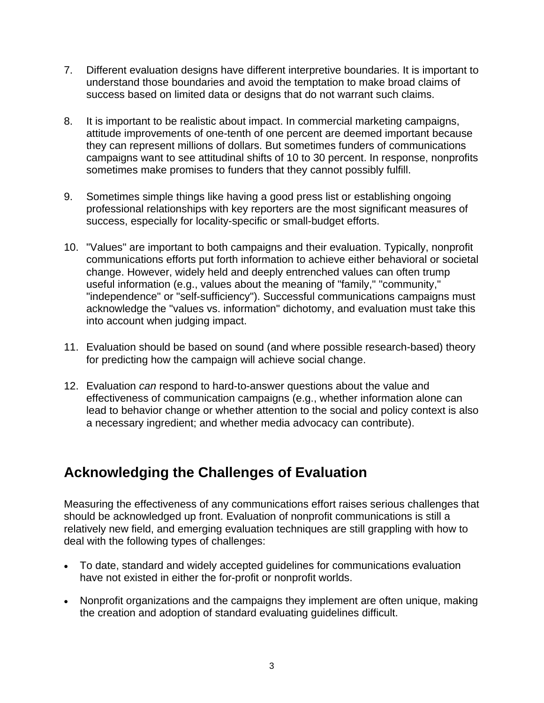- 7. Different evaluation designs have different interpretive boundaries. It is important to understand those boundaries and avoid the temptation to make broad claims of success based on limited data or designs that do not warrant such claims.
- 8. It is important to be realistic about impact. In commercial marketing campaigns, attitude improvements of one-tenth of one percent are deemed important because they can represent millions of dollars. But sometimes funders of communications campaigns want to see attitudinal shifts of 10 to 30 percent. In response, nonprofits sometimes make promises to funders that they cannot possibly fulfill.
- 9. Sometimes simple things like having a good press list or establishing ongoing professional relationships with key reporters are the most significant measures of success, especially for locality-specific or small-budget efforts.
- 10. "Values" are important to both campaigns and their evaluation. Typically, nonprofit communications efforts put forth information to achieve either behavioral or societal change. However, widely held and deeply entrenched values can often trump useful information (e.g., values about the meaning of "family," "community," "independence" or "self-sufficiency"). Successful communications campaigns must acknowledge the "values vs. information" dichotomy, and evaluation must take this into account when judging impact.
- 11. Evaluation should be based on sound (and where possible research-based) theory for predicting how the campaign will achieve social change.
- 12. Evaluation *can* respond to hard-to-answer questions about the value and effectiveness of communication campaigns (e.g., whether information alone can lead to behavior change or whether attention to the social and policy context is also a necessary ingredient; and whether media advocacy can contribute).

# **Acknowledging the Challenges of Evaluation**

Measuring the effectiveness of any communications effort raises serious challenges that should be acknowledged up front. Evaluation of nonprofit communications is still a relatively new field, and emerging evaluation techniques are still grappling with how to deal with the following types of challenges:

- To date, standard and widely accepted guidelines for communications evaluation have not existed in either the for-profit or nonprofit worlds.
- Nonprofit organizations and the campaigns they implement are often unique, making the creation and adoption of standard evaluating guidelines difficult.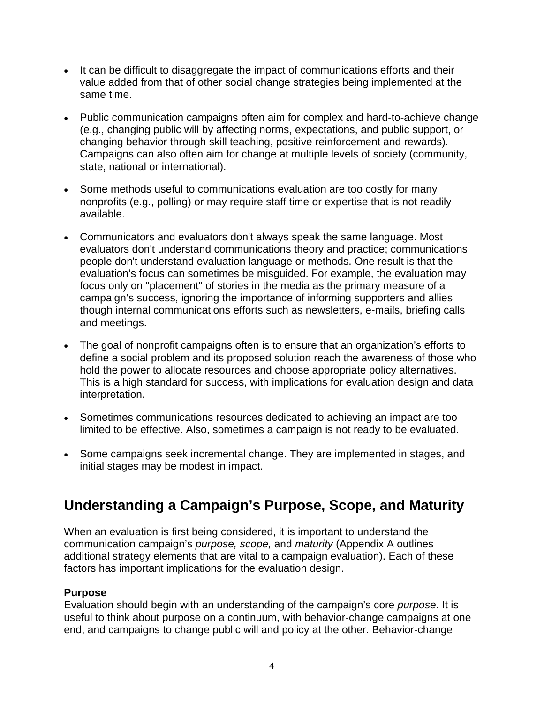- It can be difficult to disaggregate the impact of communications efforts and their value added from that of other social change strategies being implemented at the same time.
- Public communication campaigns often aim for complex and hard-to-achieve change (e.g., changing public will by affecting norms, expectations, and public support, or changing behavior through skill teaching, positive reinforcement and rewards). Campaigns can also often aim for change at multiple levels of society (community, state, national or international).
- Some methods useful to communications evaluation are too costly for many nonprofits (e.g., polling) or may require staff time or expertise that is not readily available.
- Communicators and evaluators don't always speak the same language. Most evaluators don't understand communications theory and practice; communications people don't understand evaluation language or methods. One result is that the evaluation's focus can sometimes be misguided. For example, the evaluation may focus only on "placement" of stories in the media as the primary measure of a campaign's success, ignoring the importance of informing supporters and allies though internal communications efforts such as newsletters, e-mails, briefing calls and meetings.
- The goal of nonprofit campaigns often is to ensure that an organization's efforts to define a social problem and its proposed solution reach the awareness of those who hold the power to allocate resources and choose appropriate policy alternatives. This is a high standard for success, with implications for evaluation design and data interpretation.
- Sometimes communications resources dedicated to achieving an impact are too limited to be effective. Also, sometimes a campaign is not ready to be evaluated.
- Some campaigns seek incremental change. They are implemented in stages, and initial stages may be modest in impact.

# **Understanding a Campaign's Purpose, Scope, and Maturity**

When an evaluation is first being considered, it is important to understand the communication campaign's *purpose, scope,* and *maturity* (Appendix A outlines additional strategy elements that are vital to a campaign evaluation). Each of these factors has important implications for the evaluation design.

### **Purpose**

Evaluation should begin with an understanding of the campaign's core *purpose*. It is useful to think about purpose on a continuum, with behavior-change campaigns at one end, and campaigns to change public will and policy at the other. Behavior-change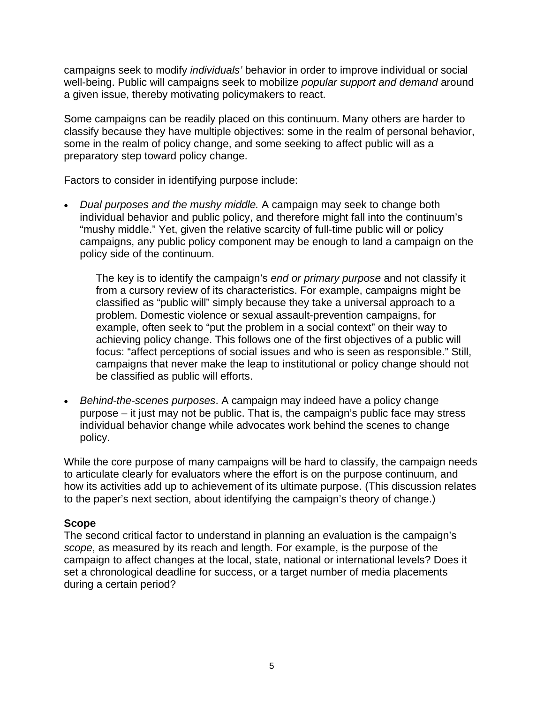campaigns seek to modify *individuals'* behavior in order to improve individual or social well-being. Public will campaigns seek to mobilize *popular support and demand* around a given issue, thereby motivating policymakers to react.

Some campaigns can be readily placed on this continuum. Many others are harder to classify because they have multiple objectives: some in the realm of personal behavior, some in the realm of policy change, and some seeking to affect public will as a preparatory step toward policy change.

Factors to consider in identifying purpose include:

*Dual purposes and the mushy middle.* A campaign may seek to change both • individual behavior and public policy, and therefore might fall into the continuum's campaigns, any public policy component may be enough to land a campaign on the "mushy middle." Yet, given the relative scarcity of full-time public will or policy policy side of the continuum.

The key is to identify the campaign's *end or primary purpose* and not classify it example, often seek to "put the problem in a social context" on their way to achieving policy change. This follows one of the first objectives of a public will focus: "affect perceptions of social issues and who is seen as responsible." Still, from a cursory review of its characteristics. For example, campaigns might be classified as "public will" simply because they take a universal approach to a problem. Domestic violence or sexual assault-prevention campaigns, for campaigns that never make the leap to institutional or policy change should not be classified as public will efforts.

*Behind-the-scenes purposes*. A campaign may indeed have a policy change • purpose – it just may not be public. That is, the campaign's public face may stress individual behavior change while advocates work behind the scenes to change policy.

While the core purpose of many campaigns will be hard to classify, the campaign needs to articulate clearly for evaluators where the effort is on the purpose continuum, and how its activities add up to achievement of its ultimate purpose. (This discussion relates to the paper's next section, about identifying the campaign's theory of change.)

#### **Scope**

The second critical factor to understand in planning an evaluation is the campaign's campaign to affect changes at the local, state, national or international levels? Does it *scope*, as measured by its reach and length. For example, is the purpose of the set a chronological deadline for success, or a target number of media placements during a certain period?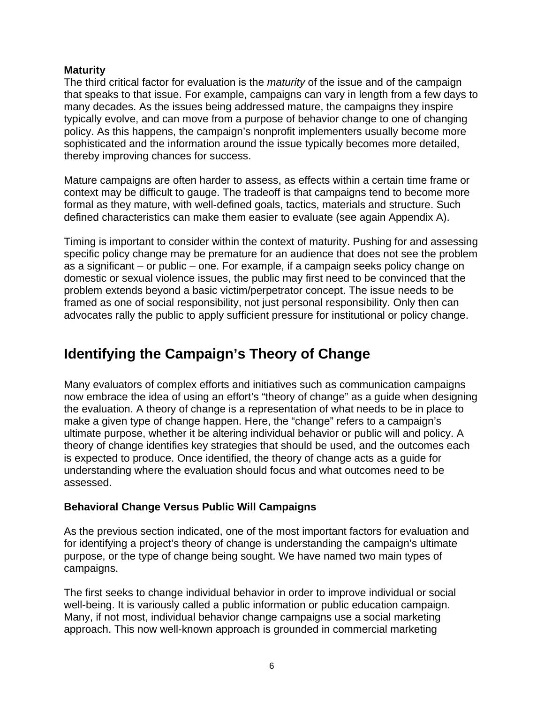#### **Maturity**

The third critical factor for evaluation is the *maturity* of the issue and of the campaign that speaks to that issue. For example, campaigns can vary in length from a few days to many decades. As the issues being addressed mature, the campaigns they inspire typically evolve, and can move from a purpose of behavior change to one of changing policy. As this happens, the campaign's nonprofit implementers usually become more sophisticated and the information around the issue typically becomes more detailed, thereby improving chances for success.

Mature campaigns are often harder to assess, as effects within a certain time frame or context may be difficult to gauge. The tradeoff is that campaigns tend to become more formal as they mature, with well-defined goals, tactics, materials and structure. Such defined characteristics can make them easier to evaluate (see again Appendix A).

Timing is important to consider within the context of maturity. Pushing for and assessing specific policy change may be premature for an audience that does not see the problem as a significant – or public – one. For example, if a campaign seeks policy change on domestic or sexual violence issues, the public may first need to be convinced that the problem extends beyond a basic victim/perpetrator concept. The issue needs to be framed as one of social responsibility, not just personal responsibility. Only then can advocates rally the public to apply sufficient pressure for institutional or policy change.

# **Identifying the Campaign's Theory of Change**

Many evaluators of complex efforts and initiatives such as communication campaigns now embrace the idea of using an effort's "theory of change" as a guide when designing the evaluation. A theory of change is a representation of what needs to be in place to make a given type of change happen. Here, the "change" refers to a campaign's ultimate purpose, whether it be altering individual behavior or public will and policy. A theory of change identifies key strategies that should be used, and the outcomes each is expected to produce. Once identified, the theory of change acts as a guide for understanding where the evaluation should focus and what outcomes need to be assessed.

### **Behavioral Change Versus Public Will Campaigns**

As the previous section indicated, one of the most important factors for evaluation and for identifying a project's theory of change is understanding the campaign's ultimate purpose, or the type of change being sought. We have named two main types of campaigns.

The first seeks to change individual behavior in order to improve individual or social well-being. It is variously called a public information or public education campaign. Many, if not most, individual behavior change campaigns use a social marketing approach. This now well-known approach is grounded in commercial marketing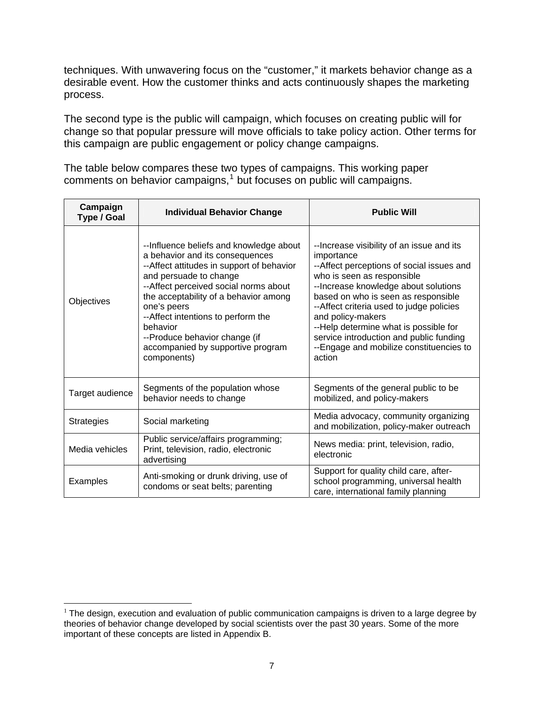techniques. With unwavering focus on the "customer," it markets behavior change as a desirable event. How the customer thinks and acts continuously shapes the marketing process.

The second type is the public will campaign, which focuses on creating public will for change so that popular pressure will move officials to take policy action. Other terms for this campaign are public engagement or policy change campaigns.

The table below compares these two types of campaigns. This working paper comments on behavior campaigns, $1$  but focuses on public will campaigns.

| Campaign<br><b>Type / Goal</b> | <b>Individual Behavior Change</b>                                                                                                                                                                                                                                                                                                                                                           | <b>Public Will</b>                                                                                                                                                                                                                                                                                                                                                                                                            |
|--------------------------------|---------------------------------------------------------------------------------------------------------------------------------------------------------------------------------------------------------------------------------------------------------------------------------------------------------------------------------------------------------------------------------------------|-------------------------------------------------------------------------------------------------------------------------------------------------------------------------------------------------------------------------------------------------------------------------------------------------------------------------------------------------------------------------------------------------------------------------------|
| Objectives                     | --Influence beliefs and knowledge about<br>a behavior and its consequences<br>--Affect attitudes in support of behavior<br>and persuade to change<br>-- Affect perceived social norms about<br>the acceptability of a behavior among<br>one's peers<br>-- Affect intentions to perform the<br>behavior<br>--Produce behavior change (if<br>accompanied by supportive program<br>components) | --Increase visibility of an issue and its<br>importance<br>--Affect perceptions of social issues and<br>who is seen as responsible<br>-- Increase knowledge about solutions<br>based on who is seen as responsible<br>-- Affect criteria used to judge policies<br>and policy-makers<br>--Help determine what is possible for<br>service introduction and public funding<br>--Engage and mobilize constituencies to<br>action |
| Target audience                | Segments of the population whose<br>behavior needs to change                                                                                                                                                                                                                                                                                                                                | Segments of the general public to be<br>mobilized, and policy-makers                                                                                                                                                                                                                                                                                                                                                          |
| <b>Strategies</b>              | Social marketing                                                                                                                                                                                                                                                                                                                                                                            | Media advocacy, community organizing<br>and mobilization, policy-maker outreach                                                                                                                                                                                                                                                                                                                                               |
| Media vehicles                 | Public service/affairs programming;<br>Print, television, radio, electronic<br>advertising                                                                                                                                                                                                                                                                                                  | News media: print, television, radio,<br>electronic                                                                                                                                                                                                                                                                                                                                                                           |
| Examples                       | Anti-smoking or drunk driving, use of<br>condoms or seat belts; parenting                                                                                                                                                                                                                                                                                                                   | Support for quality child care, after-<br>school programming, universal health<br>care, international family planning                                                                                                                                                                                                                                                                                                         |

<span id="page-7-0"></span> $\overline{a}$  $1$  The design, execution and evaluation of public communication campaigns is driven to a large degree by theories of behavior change developed by social scientists over the past 30 years. Some of the more important of these concepts are listed in Appendix B.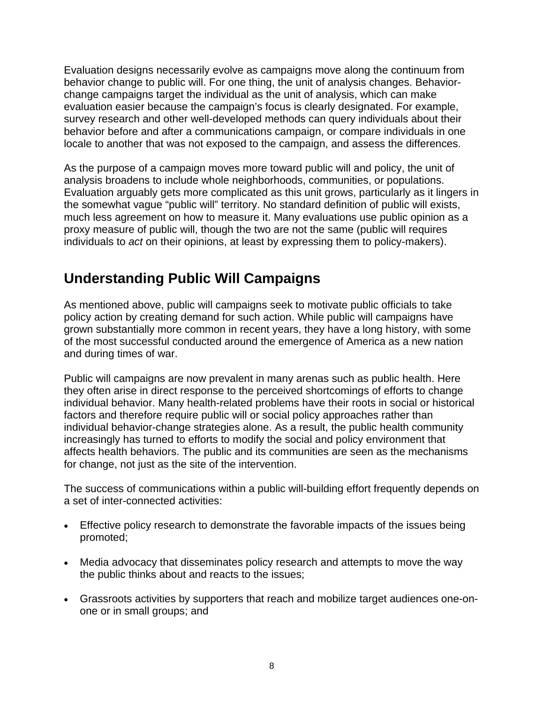Evaluation designs necessarily evolve as campaigns move along the continuum from behavior change to public will. For one thing, the unit of analysis changes. Behaviorchange campaigns target the individual as the unit of analysis, which can make evaluation easier because the campaign's focus is clearly designated. For example, survey research and other well-developed methods can query individuals about their behavior before and after a communications campaign, or compare individuals in one locale to another that was not exposed to the campaign, and assess the differences.

As the purpose of a campaign moves more toward public will and policy, the unit of analysis broadens to include whole neighborhoods, communities, or populations. Evaluation arguably gets more complicated as this unit grows, particularly as it lingers in the somewhat vague "public will" territory. No standard definition of public will exists, much less agreement on how to measure it. Many evaluations use public opinion as a proxy measure of public will, though the two are not the same (public will requires individuals to *act* on their opinions, at least by expressing them to policy-makers).

# **Understanding Public Will Campaigns**

As mentioned above, public will campaigns seek to motivate public officials to take policy action by creating demand for such action. While public will campaigns have grown substantially more common in recent years, they have a long history, with some of the most successful conducted around the emergence of America as a new nation and during times of war.

Public will campaigns are now prevalent in many arenas such as public health. Here they often arise in direct response to the perceived shortcomings of efforts to change individual behavior. Many health-related problems have their roots in social or historical factors and therefore require public will or social policy approaches rather than individual behavior-change strategies alone. As a result, the public health community increasingly has turned to efforts to modify the social and policy environment that affects health behaviors. The public and its communities are seen as the mechanisms for change, not just as the site of the intervention.

The success of communications within a public will-building effort frequently depends on a set of inter-connected activities:

- Effective policy research to demonstrate the favorable impacts of the issues being promoted;
- Media advocacy that disseminates policy research and attempts to move the way the public thinks about and reacts to the issues;
- Grassroots activities by supporters that reach and mobilize target audiences one-onone or in small groups; and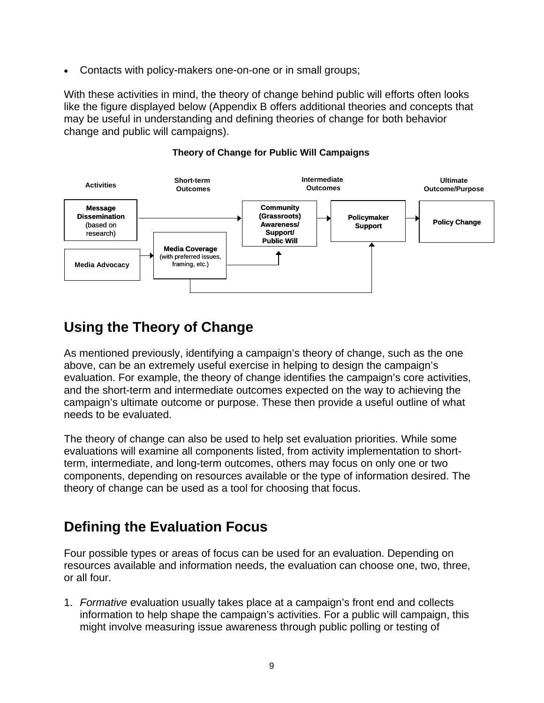• Contacts with policy-makers one-on-one or in small groups;

With these activities in mind, the theory of change behind public will efforts often looks like the figure displayed below (Appendix B offers additional theories and concepts that may be useful in understanding and defining theories of change for both behavior change and public will campaigns).



#### **Theory of Change for Public Will Campaigns**

### **Using the Theory of Change**

As mentioned previously, identifying a campaign's theory of change, such as the one above, can be an extremely useful exercise in helping to design the campaign's evaluation. For example, the theory of change identifies the campaign's core activities, and the short-term and intermediate outcomes expected on the way to achieving the campaign's ultimate outcome or purpose. These then provide a useful outline of what needs to be evaluated.

The theory of change can also be used to help set evaluation priorities. While some evaluations will examine all components listed, from activity implementation to shortterm, intermediate, and long-term outcomes, others may focus on only one or two components, depending on resources available or the type of information desired. The theory of change can be used as a tool for choosing that focus.

# **Defining the Evaluation Focus**

Four possible types or areas of focus can be used for an evaluation. Depending on resources available and information needs, the evaluation can choose one, two, three, or all four.

1. *Formative* evaluation usually takes place at a campaign's front end and collects information to help shape the campaign's activities. For a public will campaign, this might involve measuring issue awareness through public polling or testing of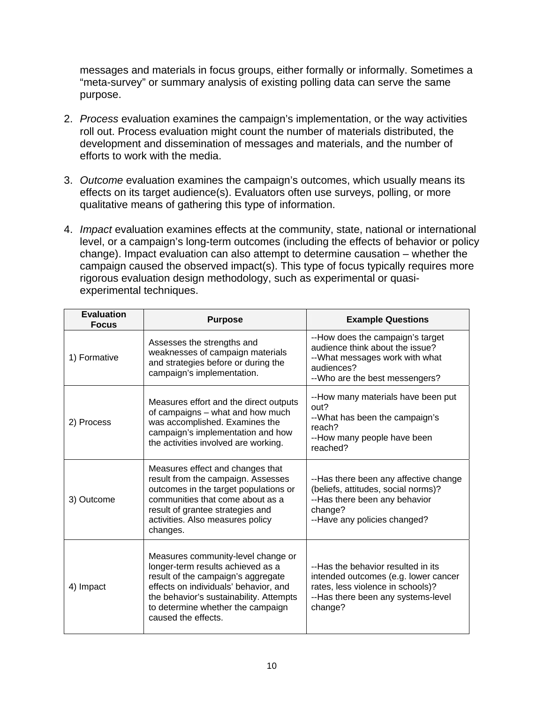messages and materials in focus groups, either formally or informally. Sometimes a "meta-survey" or summary analysis of existing polling data can serve the same purpose.

- 2. *Process* evaluation examines the campaign's implementation, or the way activities roll out. Process evaluation might count the number of materials distributed, the development and dissemination of messages and materials, and the number of efforts to work with the media.
- 3. *Outcome* evaluation examines the campaign's outcomes, which usually means its effects on its target audience(s). Evaluators often use surveys, polling, or more qualitative means of gathering this type of information.
- 4. *Impact* evaluation examines effects at the community, state, national or international level, or a campaign's long-term outcomes (including the effects of behavior or policy change). Impact evaluation can also attempt to determine causation – whether the campaign caused the observed impact(s). This type of focus typically requires more rigorous evaluation design methodology, such as experimental or quasiexperimental techniques.

| <b>Evaluation</b><br><b>Focus</b> | <b>Purpose</b>                                                                                                                                                                                                                                                | <b>Example Questions</b>                                                                                                                                         |
|-----------------------------------|---------------------------------------------------------------------------------------------------------------------------------------------------------------------------------------------------------------------------------------------------------------|------------------------------------------------------------------------------------------------------------------------------------------------------------------|
| 1) Formative                      | Assesses the strengths and<br>weaknesses of campaign materials<br>and strategies before or during the<br>campaign's implementation.                                                                                                                           | --How does the campaign's target<br>audience think about the issue?<br>-- What messages work with what<br>audiences?<br>-- Who are the best messengers?          |
| 2) Process                        | Measures effort and the direct outputs<br>of campaigns - what and how much<br>was accomplished. Examines the<br>campaign's implementation and how<br>the activities involved are working.                                                                     | --How many materials have been put<br>out?<br>-- What has been the campaign's<br>reach?<br>--How many people have been<br>reached?                               |
| 3) Outcome                        | Measures effect and changes that<br>result from the campaign. Assesses<br>outcomes in the target populations or<br>communities that come about as a<br>result of grantee strategies and<br>activities. Also measures policy<br>changes.                       | --Has there been any affective change<br>(beliefs, attitudes, social norms)?<br>--Has there been any behavior<br>change?<br>--Have any policies changed?         |
| 4) Impact                         | Measures community-level change or<br>longer-term results achieved as a<br>result of the campaign's aggregate<br>effects on individuals' behavior, and<br>the behavior's sustainability. Attempts<br>to determine whether the campaign<br>caused the effects. | --Has the behavior resulted in its<br>intended outcomes (e.g. lower cancer<br>rates, less violence in schools)?<br>--Has there been any systems-level<br>change? |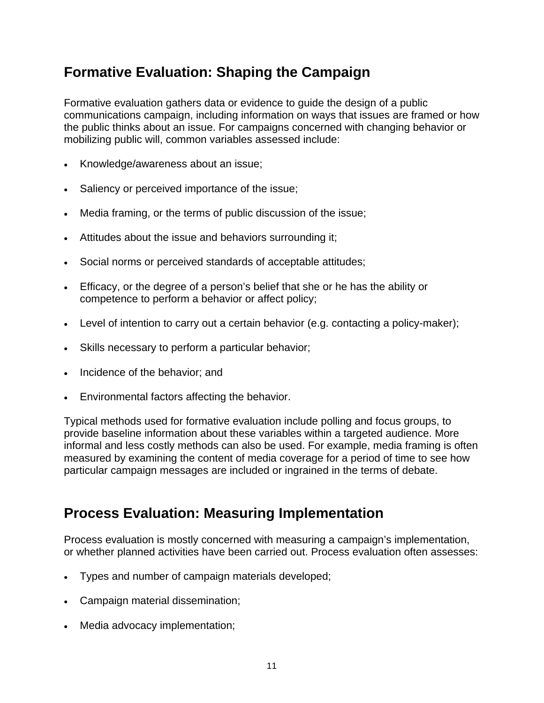# **Formative Evaluation: Shaping the Campaign**

Formative evaluation gathers data or evidence to guide the design of a public communications campaign, including information on ways that issues are framed or how the public thinks about an issue. For campaigns concerned with changing behavior or mobilizing public will, common variables assessed include:

- Knowledge/awareness about an issue;
- Saliency or perceived importance of the issue;
- Media framing, or the terms of public discussion of the issue;
- Attitudes about the issue and behaviors surrounding it;
- Social norms or perceived standards of acceptable attitudes;
- Efficacy, or the degree of a person's belief that she or he has the ability or competence to perform a behavior or affect policy;
- Level of intention to carry out a certain behavior (e.g. contacting a policy-maker);
- Skills necessary to perform a particular behavior;
- Incidence of the behavior; and
- Environmental factors affecting the behavior.

Typical methods used for formative evaluation include polling and focus groups, to provide baseline information about these variables within a targeted audience. More informal and less costly methods can also be used. For example, media framing is often measured by examining the content of media coverage for a period of time to see how particular campaign messages are included or ingrained in the terms of debate.

### **Process Evaluation: Measuring Implementation**

Process evaluation is mostly concerned with measuring a campaign's implementation, or whether planned activities have been carried out. Process evaluation often assesses:

- Types and number of campaign materials developed;
- Campaign material dissemination;
- Media advocacy implementation;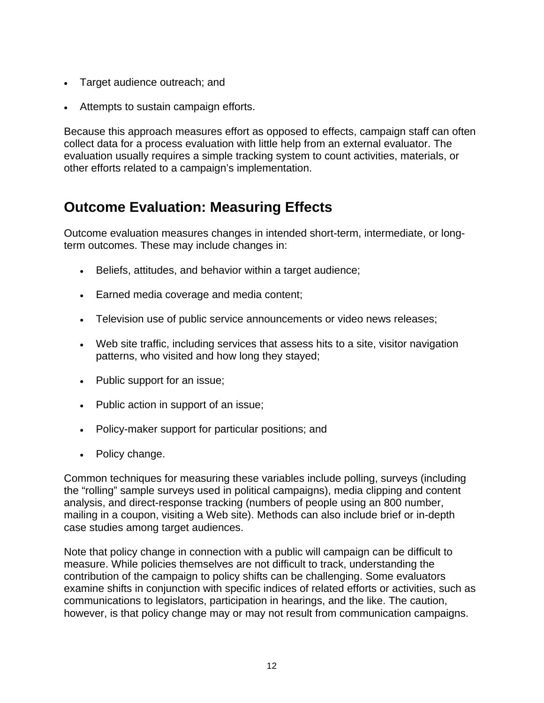- Target audience outreach; and
- Attempts to sustain campaign efforts.

Because this approach measures effort as opposed to effects, campaign staff can often collect data for a process evaluation with little help from an external evaluator. The evaluation usually requires a simple tracking system to count activities, materials, or other efforts related to a campaign's implementation.

### **Outcome Evaluation: Measuring Effects**

Outcome evaluation measures changes in intended short-term, intermediate, or longterm outcomes. These may include changes in:

- Beliefs, attitudes, and behavior within a target audience;
- Earned media coverage and media content;
- Television use of public service announcements or video news releases;
- Web site traffic, including services that assess hits to a site, visitor navigation patterns, who visited and how long they stayed;
- Public support for an issue;
- Public action in support of an issue;
- Policy-maker support for particular positions; and
- Policy change.

Common techniques for measuring these variables include polling, surveys (including the "rolling" sample surveys used in political campaigns), media clipping and content analysis, and direct-response tracking (numbers of people using an 800 number, mailing in a coupon, visiting a Web site). Methods can also include brief or in-depth case studies among target audiences.

Note that policy change in connection with a public will campaign can be difficult to measure. While policies themselves are not difficult to track, understanding the contribution of the campaign to policy shifts can be challenging. Some evaluators examine shifts in conjunction with specific indices of related efforts or activities, such as communications to legislators, participation in hearings, and the like. The caution, however, is that policy change may or may not result from communication campaigns.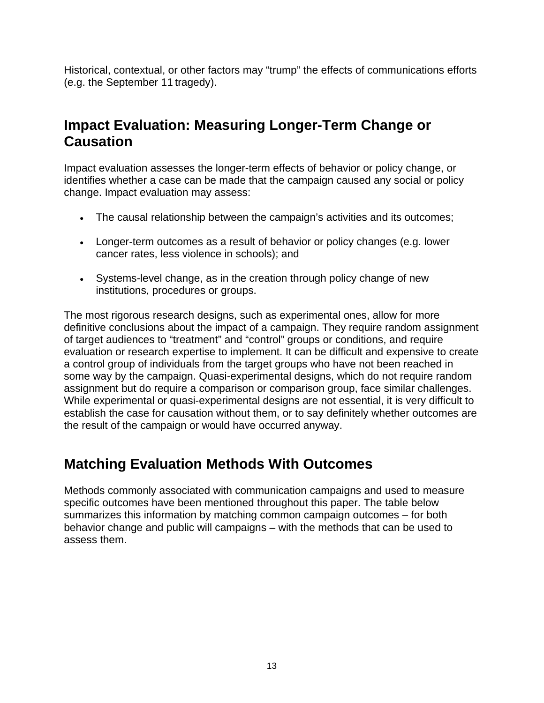Historical, contextual, or other factors may "trump" the effects of communications efforts (e.g. the September 11 tragedy).

### **Impact Evaluation: Measuring Longer-Term Change or Causation**

Impact evaluation assesses the longer-term effects of behavior or policy change, or identifies whether a case can be made that the campaign caused any social or policy change. Impact evaluation may assess:

- The causal relationship between the campaign's activities and its outcomes;
- Longer-term outcomes as a result of behavior or policy changes (e.g. lower cancer rates, less violence in schools); and
- Systems-level change, as in the creation through policy change of new institutions, procedures or groups.

The most rigorous research designs, such as experimental ones, allow for more definitive conclusions about the impact of a campaign. They require random assignment of target audiences to "treatment" and "control" groups or conditions, and require evaluation or research expertise to implement. It can be difficult and expensive to create a control group of individuals from the target groups who have not been reached in some way by the campaign. Quasi-experimental designs, which do not require random assignment but do require a comparison or comparison group, face similar challenges. While experimental or quasi-experimental designs are not essential, it is very difficult to establish the case for causation without them, or to say definitely whether outcomes are the result of the campaign or would have occurred anyway.

# **Matching Evaluation Methods With Outcomes**

Methods commonly associated with communication campaigns and used to measure specific outcomes have been mentioned throughout this paper. The table below summarizes this information by matching common campaign outcomes – for both behavior change and public will campaigns – with the methods that can be used to assess them.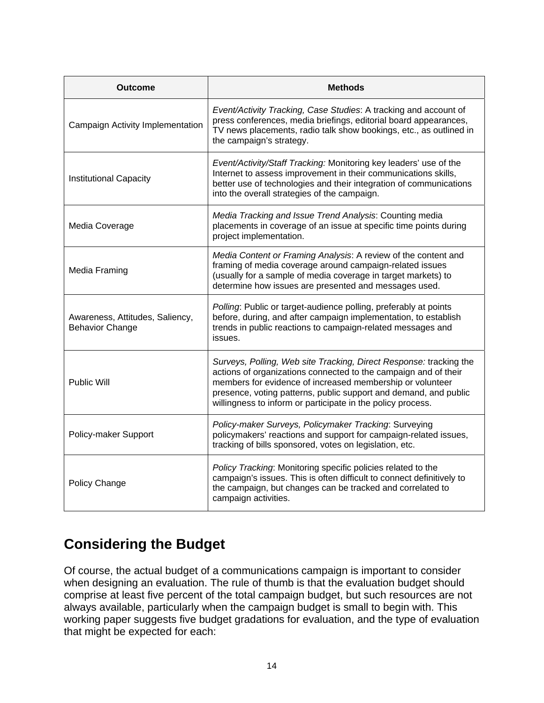| Outcome                                                   | <b>Methods</b>                                                                                                                                                                                                                                                                                                                        |  |
|-----------------------------------------------------------|---------------------------------------------------------------------------------------------------------------------------------------------------------------------------------------------------------------------------------------------------------------------------------------------------------------------------------------|--|
| Campaign Activity Implementation                          | Event/Activity Tracking, Case Studies: A tracking and account of<br>press conferences, media briefings, editorial board appearances,<br>TV news placements, radio talk show bookings, etc., as outlined in<br>the campaign's strategy.                                                                                                |  |
| Institutional Capacity                                    | Event/Activity/Staff Tracking: Monitoring key leaders' use of the<br>Internet to assess improvement in their communications skills,<br>better use of technologies and their integration of communications<br>into the overall strategies of the campaign.                                                                             |  |
| Media Coverage                                            | Media Tracking and Issue Trend Analysis: Counting media<br>placements in coverage of an issue at specific time points during<br>project implementation.                                                                                                                                                                               |  |
| Media Framing                                             | Media Content or Framing Analysis: A review of the content and<br>framing of media coverage around campaign-related issues<br>(usually for a sample of media coverage in target markets) to<br>determine how issues are presented and messages used.                                                                                  |  |
| Awareness, Attitudes, Saliency,<br><b>Behavior Change</b> | Polling: Public or target-audience polling, preferably at points<br>before, during, and after campaign implementation, to establish<br>trends in public reactions to campaign-related messages and<br>issues.                                                                                                                         |  |
| <b>Public Will</b>                                        | Surveys, Polling, Web site Tracking, Direct Response: tracking the<br>actions of organizations connected to the campaign and of their<br>members for evidence of increased membership or volunteer<br>presence, voting patterns, public support and demand, and public<br>willingness to inform or participate in the policy process. |  |
| Policy-maker Support                                      | Policy-maker Surveys, Policymaker Tracking: Surveying<br>policymakers' reactions and support for campaign-related issues,<br>tracking of bills sponsored, votes on legislation, etc.                                                                                                                                                  |  |
| Policy Change                                             | Policy Tracking: Monitoring specific policies related to the<br>campaign's issues. This is often difficult to connect definitively to<br>the campaign, but changes can be tracked and correlated to<br>campaign activities.                                                                                                           |  |

# **Considering the Budget**

Of course, the actual budget of a communications campaign is important to consider when designing an evaluation. The rule of thumb is that the evaluation budget should comprise at least five percent of the total campaign budget, but such resources are not always available, particularly when the campaign budget is small to begin with. This working paper suggests five budget gradations for evaluation, and the type of evaluation that might be expected for each: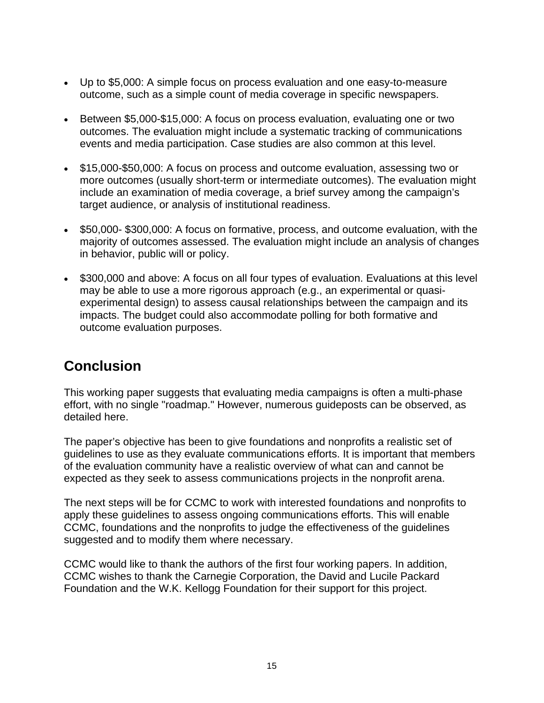- Up to \$5,000: A simple focus on process evaluation and one easy-to-measure outcome, such as a simple count of media coverage in specific newspapers.
- Between \$5,000-\$15,000: A focus on process evaluation, evaluating one or two outcomes. The evaluation might include a systematic tracking of communications events and media participation. Case studies are also common at this level.
- \$15,000-\$50,000: A focus on process and outcome evaluation, assessing two or more outcomes (usually short-term or intermediate outcomes). The evaluation might include an examination of media coverage, a brief survey among the campaign's target audience, or analysis of institutional readiness.
- \$50,000- \$300,000: A focus on formative, process, and outcome evaluation, with the majority of outcomes assessed. The evaluation might include an analysis of changes in behavior, public will or policy.
- \$300,000 and above: A focus on all four types of evaluation. Evaluations at this level may be able to use a more rigorous approach (e.g., an experimental or quasiexperimental design) to assess causal relationships between the campaign and its impacts. The budget could also accommodate polling for both formative and outcome evaluation purposes.

# **Conclusion**

This working paper suggests that evaluating media campaigns is often a multi-phase effort, with no single "roadmap." However, numerous guideposts can be observed, as detailed here.

The paper's objective has been to give foundations and nonprofits a realistic set of guidelines to use as they evaluate communications efforts. It is important that members of the evaluation community have a realistic overview of what can and cannot be expected as they seek to assess communications projects in the nonprofit arena.

The next steps will be for CCMC to work with interested foundations and nonprofits to apply these guidelines to assess ongoing communications efforts. This will enable CCMC, foundations and the nonprofits to judge the effectiveness of the guidelines suggested and to modify them where necessary.

CCMC would like to thank the authors of the first four working papers. In addition, CCMC wishes to thank the Carnegie Corporation, the David and Lucile Packard Foundation and the W.K. Kellogg Foundation for their support for this project.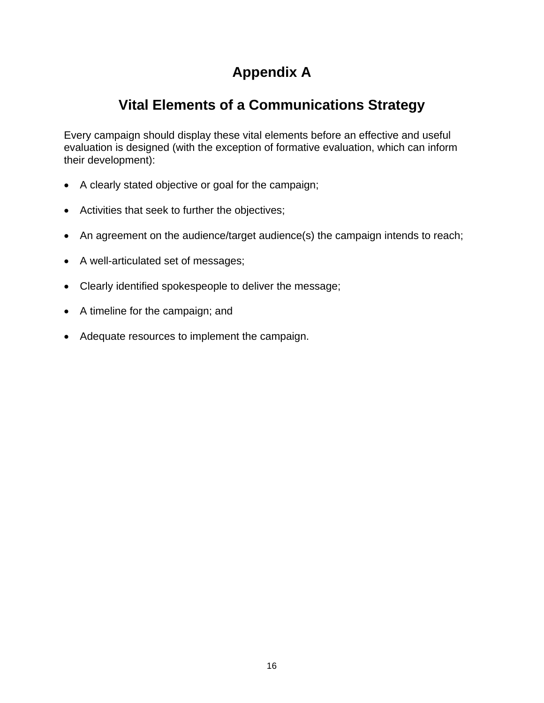# **Appendix A**

# **Vital Elements of a Communications Strategy**

Every campaign should display these vital elements before an effective and useful evaluation is designed (with the exception of formative evaluation, which can inform their development):

- A clearly stated objective or goal for the campaign;
- Activities that seek to further the objectives;
- An agreement on the audience/target audience(s) the campaign intends to reach;
- A well-articulated set of messages;
- Clearly identified spokespeople to deliver the message;
- A timeline for the campaign; and
- Adequate resources to implement the campaign.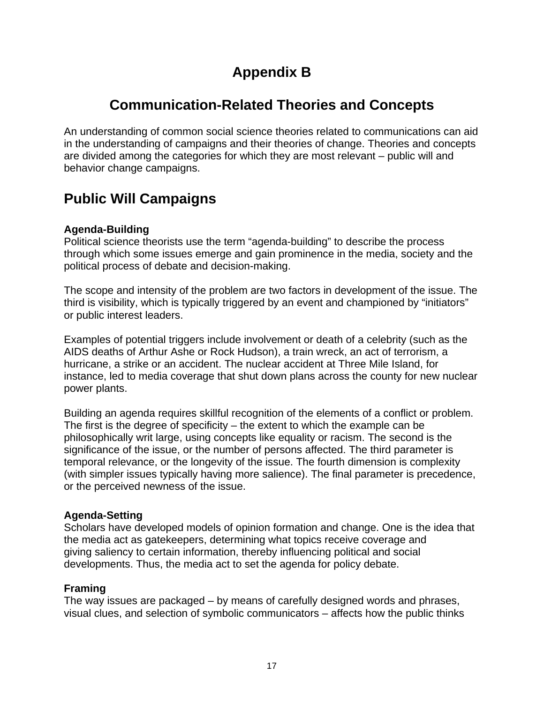# **Appendix B**

# **Communication-Related Theories and Concepts**

An understanding of common social science theories related to communications can aid in the understanding of campaigns and their theories of change. Theories and concepts are divided among the categories for which they are most relevant – public will and behavior change campaigns.

### **Public Will Campaigns**

### **Agenda-Building**

Political science theorists use the term "agenda-building" to describe the process through which some issues emerge and gain prominence in the media, society and the political process of debate and decision-making.

The scope and intensity of the problem are two factors in development of the issue. The third is visibility, which is typically triggered by an event and championed by "initiators" or public interest leaders.

Examples of potential triggers include involvement or death of a celebrity (such as the AIDS deaths of Arthur Ashe or Rock Hudson), a train wreck, an act of terrorism, a hurricane, a strike or an accident. The nuclear accident at Three Mile Island, for instance, led to media coverage that shut down plans across the county for new nuclear power plants.

Building an agenda requires skillful recognition of the elements of a conflict or problem. The first is the degree of specificity  $-$  the extent to which the example can be philosophically writ large, using concepts like equality or racism. The second is the significance of the issue, or the number of persons affected. The third parameter is temporal relevance, or the longevity of the issue. The fourth dimension is complexity (with simpler issues typically having more salience). The final parameter is precedence, or the perceived newness of the issue.

### **Agenda-Setting**

Scholars have developed models of opinion formation and change. One is the idea that the media act as gatekeepers, determining what topics receive coverage and giving saliency to certain information, thereby influencing political and social developments. Thus, the media act to set the agenda for policy debate.

#### **Framing**

The way issues are packaged – by means of carefully designed words and phrases, visual clues, and selection of symbolic communicators – affects how the public thinks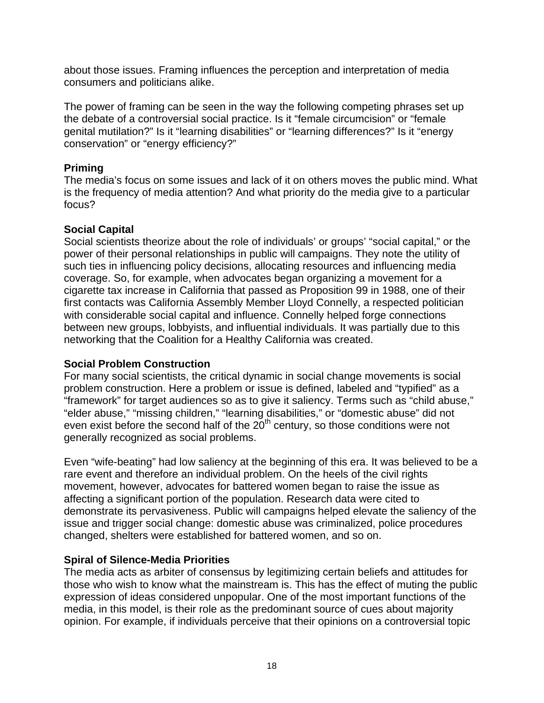about those issues. Framing influences the perception and interpretation of media consumers and politicians alike.

The power of framing can be seen in the way the following competing phrases set up the debate of a controversial social practice. Is it "female circumcision" or "female genital mutilation?" Is it "learning disabilities" or "learning differences?" Is it "energy conservation" or "energy efficiency?"

#### **Priming**

The media's focus on some issues and lack of it on others moves the public mind. What is the frequency of media attention? And what priority do the media give to a particular focus?

#### **Social Capital**

Social scientists theorize about the role of individuals' or groups' "social capital," or the power of their personal relationships in public will campaigns. They note the utility of such ties in influencing policy decisions, allocating resources and influencing media coverage. So, for example, when advocates began organizing a movement for a cigarette tax increase in California that passed as Proposition 99 in 1988, one of their first contacts was California Assembly Member Lloyd Connelly, a respected politician with considerable social capital and influence. Connelly helped forge connections between new groups, lobbyists, and influential individuals. It was partially due to this networking that the Coalition for a Healthy California was created.

#### **Social Problem Construction**

For many social scientists, the critical dynamic in social change movements is social problem construction. Here a problem or issue is defined, labeled and "typified" as a "framework" for target audiences so as to give it saliency. Terms such as "child abuse," "elder abuse," "missing children," "learning disabilities," or "domestic abuse" did not even exist before the second half of the  $20<sup>th</sup>$  century, so those conditions were not generally recognized as social problems.

Even "wife-beating" had low saliency at the beginning of this era. It was believed to be a rare event and therefore an individual problem. On the heels of the civil rights movement, however, advocates for battered women began to raise the issue as affecting a significant portion of the population. Research data were cited to demonstrate its pervasiveness. Public will campaigns helped elevate the saliency of the issue and trigger social change: domestic abuse was criminalized, police procedures changed, shelters were established for battered women, and so on.

### **Spiral of Silence-Media Priorities**

The media acts as arbiter of consensus by legitimizing certain beliefs and attitudes for those who wish to know what the mainstream is. This has the effect of muting the public expression of ideas considered unpopular. One of the most important functions of the media, in this model, is their role as the predominant source of cues about majority opinion. For example, if individuals perceive that their opinions on a controversial topic